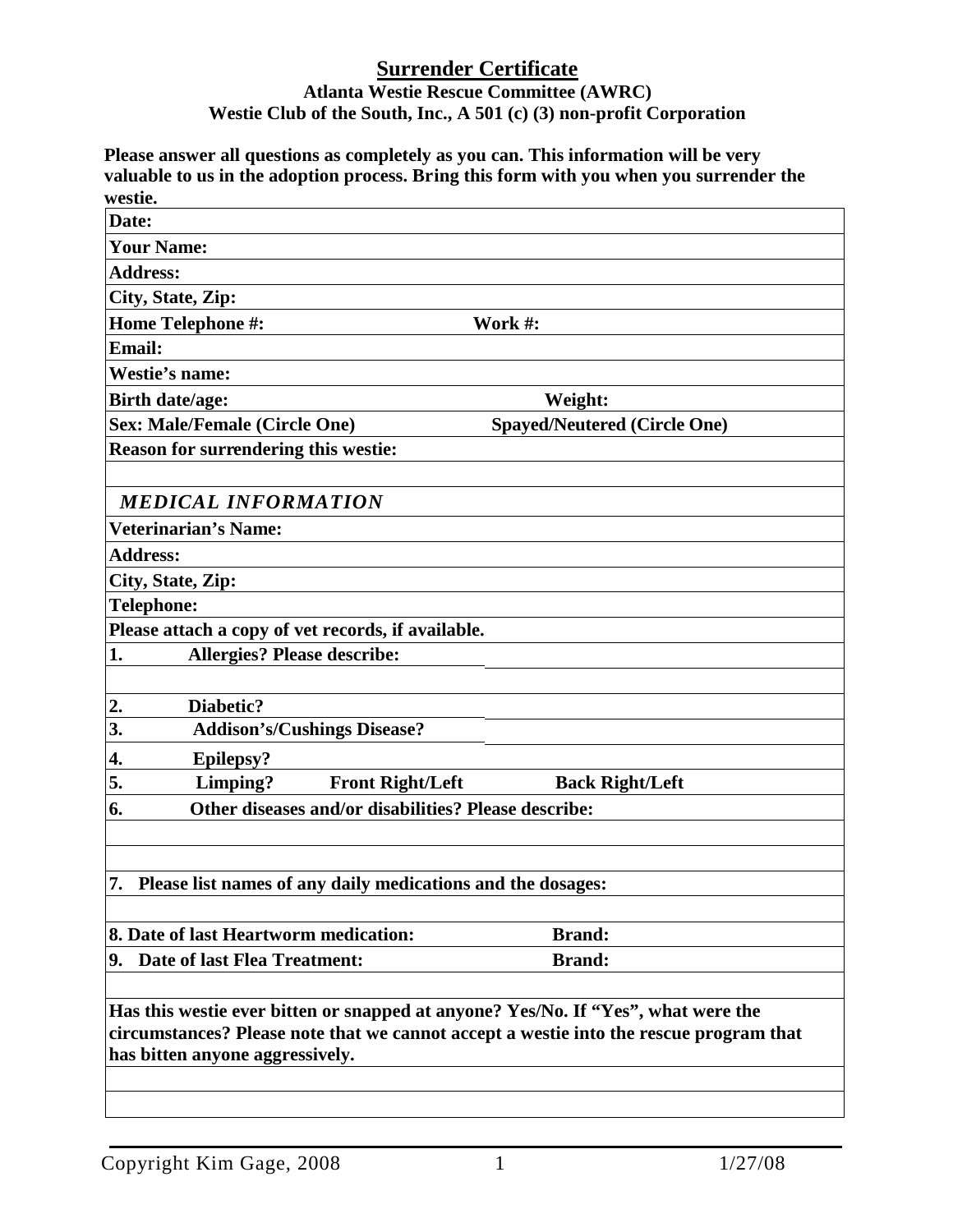## **Surrender Certificate Atlanta Westie Rescue Committee (AWRC) Westie Club of the South, Inc., A 501 (c) (3) non-profit Corporation**

**Please answer all questions as completely as you can. This information will be very valuable to us in the adoption process. Bring this form with you when you surrender the westie.**

| wesue.                                                                                 |                                     |  |  |  |
|----------------------------------------------------------------------------------------|-------------------------------------|--|--|--|
| Date:                                                                                  |                                     |  |  |  |
| <b>Your Name:</b>                                                                      |                                     |  |  |  |
| <b>Address:</b>                                                                        |                                     |  |  |  |
| City, State, Zip:                                                                      |                                     |  |  |  |
| <b>Home Telephone #:</b>                                                               | Work #:                             |  |  |  |
| <b>Email:</b>                                                                          |                                     |  |  |  |
| Westie's name:                                                                         |                                     |  |  |  |
| <b>Birth date/age:</b>                                                                 | Weight:                             |  |  |  |
| <b>Sex: Male/Female (Circle One)</b>                                                   | <b>Spayed/Neutered (Circle One)</b> |  |  |  |
| <b>Reason for surrendering this westie:</b>                                            |                                     |  |  |  |
|                                                                                        |                                     |  |  |  |
| <b>MEDICAL INFORMATION</b>                                                             |                                     |  |  |  |
| <b>Veterinarian's Name:</b>                                                            |                                     |  |  |  |
| <b>Address:</b>                                                                        |                                     |  |  |  |
| City, State, Zip:                                                                      |                                     |  |  |  |
| <b>Telephone:</b>                                                                      |                                     |  |  |  |
| Please attach a copy of vet records, if available.                                     |                                     |  |  |  |
| <b>Allergies? Please describe:</b><br>1.                                               |                                     |  |  |  |
|                                                                                        |                                     |  |  |  |
| Diabetic?<br>2.                                                                        |                                     |  |  |  |
| 3.<br><b>Addison's/Cushings Disease?</b>                                               |                                     |  |  |  |
| <b>Epilepsy?</b><br>4.                                                                 |                                     |  |  |  |
| 5.<br>Limping?<br><b>Front Right/Left</b>                                              | <b>Back Right/Left</b>              |  |  |  |
| Other diseases and/or disabilities? Please describe:<br>6.                             |                                     |  |  |  |
|                                                                                        |                                     |  |  |  |
|                                                                                        |                                     |  |  |  |
| 7. Please list names of any daily medications and the dosages:                         |                                     |  |  |  |
|                                                                                        |                                     |  |  |  |
| 8. Date of last Heartworm medication:                                                  | <b>Brand:</b>                       |  |  |  |
| 9. Date of last Flea Treatment:                                                        | <b>Brand:</b>                       |  |  |  |
|                                                                                        |                                     |  |  |  |
| Has this westie ever bitten or snapped at anyone? Yes/No. If "Yes", what were the      |                                     |  |  |  |
| circumstances? Please note that we cannot accept a westie into the rescue program that |                                     |  |  |  |
| has bitten anyone aggressively.                                                        |                                     |  |  |  |
|                                                                                        |                                     |  |  |  |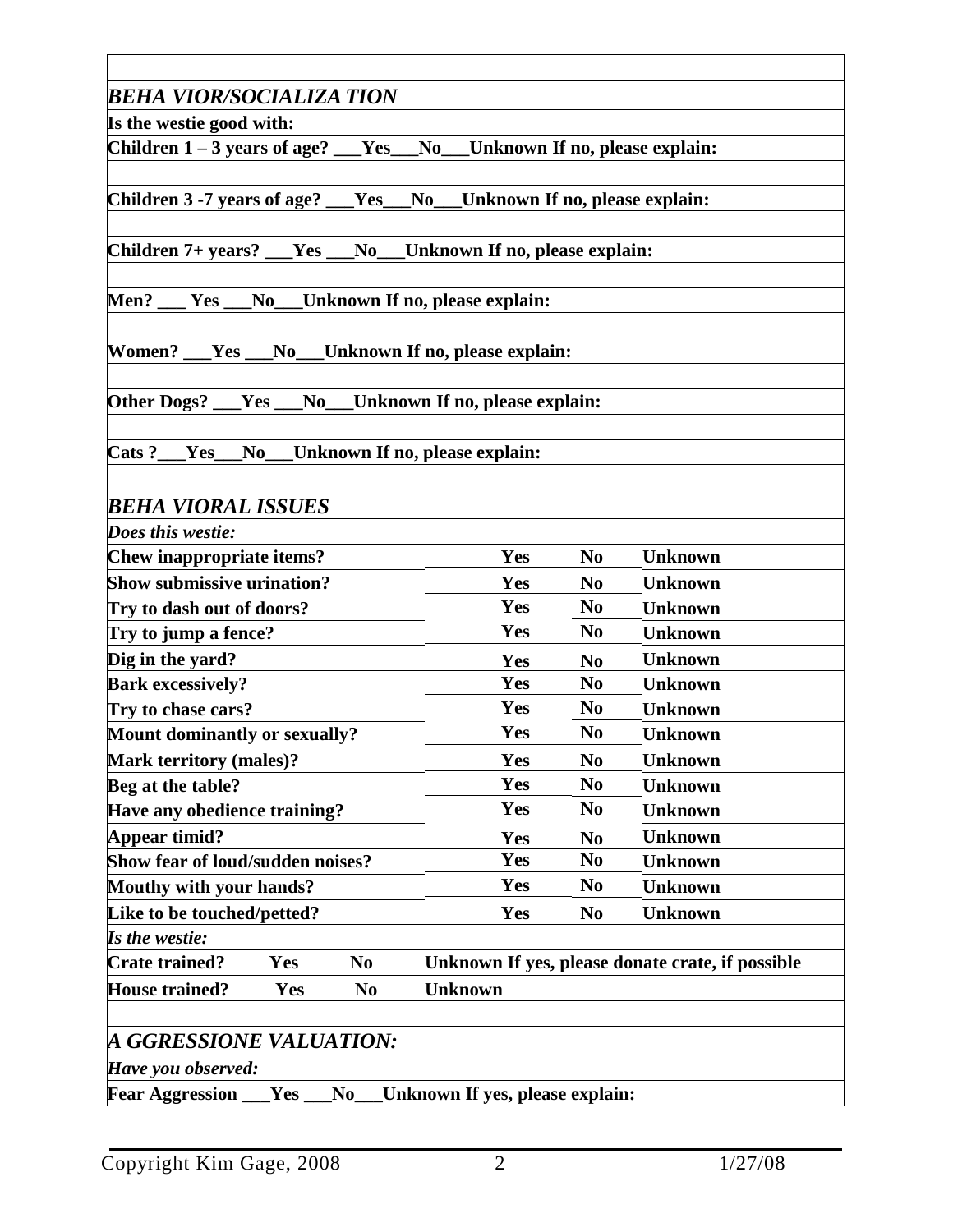| <b>BEHA VIOR/SOCIALIZA TION</b>                                                                    |                                    |                                  |                |  |  |  |
|----------------------------------------------------------------------------------------------------|------------------------------------|----------------------------------|----------------|--|--|--|
| Is the westie good with:                                                                           |                                    |                                  |                |  |  |  |
| Children $1 - 3$ years of age? $Yes$ No Unknown If no, please explain:                             |                                    |                                  |                |  |  |  |
|                                                                                                    |                                    |                                  |                |  |  |  |
| Children 3 -7 years of age? ___Yes                                                                 | No__Unknown If no, please explain: |                                  |                |  |  |  |
|                                                                                                    |                                    |                                  |                |  |  |  |
| Children 7+ years? __Yes __No__Unknown If no, please explain:                                      |                                    |                                  |                |  |  |  |
| Men? __ Yes __No__Unknown If no, please explain:                                                   |                                    |                                  |                |  |  |  |
|                                                                                                    |                                    |                                  |                |  |  |  |
| Women? __Yes __No__Unknown If no, please explain:                                                  |                                    |                                  |                |  |  |  |
|                                                                                                    |                                    |                                  |                |  |  |  |
| Other Dogs? __Yes __No__Unknown If no, please explain:                                             |                                    |                                  |                |  |  |  |
|                                                                                                    |                                    |                                  |                |  |  |  |
| Cats ?___Yes_<br>$No$ <sub>___</sub>                                                               | Unknown If no, please explain:     |                                  |                |  |  |  |
| <b>BEHA VIORAL ISSUES</b>                                                                          |                                    |                                  |                |  |  |  |
| Does this westie:                                                                                  |                                    |                                  |                |  |  |  |
| <b>Chew inappropriate items?</b>                                                                   | Yes                                | N <sub>0</sub>                   | <b>Unknown</b> |  |  |  |
| <b>Show submissive urination?</b>                                                                  | Yes                                | N <sub>0</sub>                   | <b>Unknown</b> |  |  |  |
| Try to dash out of doors?                                                                          | Yes                                | N <sub>0</sub>                   | <b>Unknown</b> |  |  |  |
| Try to jump a fence?                                                                               | Yes                                | N <sub>0</sub>                   | <b>Unknown</b> |  |  |  |
| Dig in the yard?                                                                                   |                                    |                                  | <b>Unknown</b> |  |  |  |
| <b>Bark excessively?</b>                                                                           | Yes<br>Yes                         | N <sub>0</sub><br>N <sub>0</sub> | <b>Unknown</b> |  |  |  |
|                                                                                                    | Yes                                | N <sub>0</sub>                   | <b>Unknown</b> |  |  |  |
| Try to chase cars?                                                                                 | Yes                                | N <sub>0</sub>                   | <b>Unknown</b> |  |  |  |
| <b>Mount dominantly or sexually?</b>                                                               |                                    |                                  |                |  |  |  |
| <b>Mark territory (males)?</b>                                                                     | Yes                                | N <sub>0</sub>                   | <b>Unknown</b> |  |  |  |
| Beg at the table?                                                                                  | Yes                                | N <sub>0</sub>                   | <b>Unknown</b> |  |  |  |
| Have any obedience training?                                                                       | <b>Yes</b>                         | N <sub>0</sub>                   | <b>Unknown</b> |  |  |  |
| Appear timid?                                                                                      | Yes                                | N <sub>0</sub>                   | <b>Unknown</b> |  |  |  |
| Show fear of loud/sudden noises?                                                                   | Yes                                | N <sub>0</sub>                   | <b>Unknown</b> |  |  |  |
| Mouthy with your hands?                                                                            | Yes                                | N <sub>0</sub>                   | <b>Unknown</b> |  |  |  |
| Like to be touched/petted?                                                                         | Yes                                | N <sub>0</sub>                   | <b>Unknown</b> |  |  |  |
| Is the westie:                                                                                     |                                    |                                  |                |  |  |  |
| <b>Crate trained?</b><br>Yes<br>Unknown If yes, please donate crate, if possible<br>N <sub>0</sub> |                                    |                                  |                |  |  |  |
| <b>House trained?</b><br>Yes<br>N <sub>0</sub>                                                     | <b>Unknown</b>                     |                                  |                |  |  |  |
|                                                                                                    |                                    |                                  |                |  |  |  |
| A GGRESSIONE VALUATION:                                                                            |                                    |                                  |                |  |  |  |
| Have you observed:                                                                                 |                                    |                                  |                |  |  |  |
| <b>Fear Aggression</b><br>$\bf No$<br>${\bf Yes\_}$                                                | Unknown If yes, please explain:    |                                  |                |  |  |  |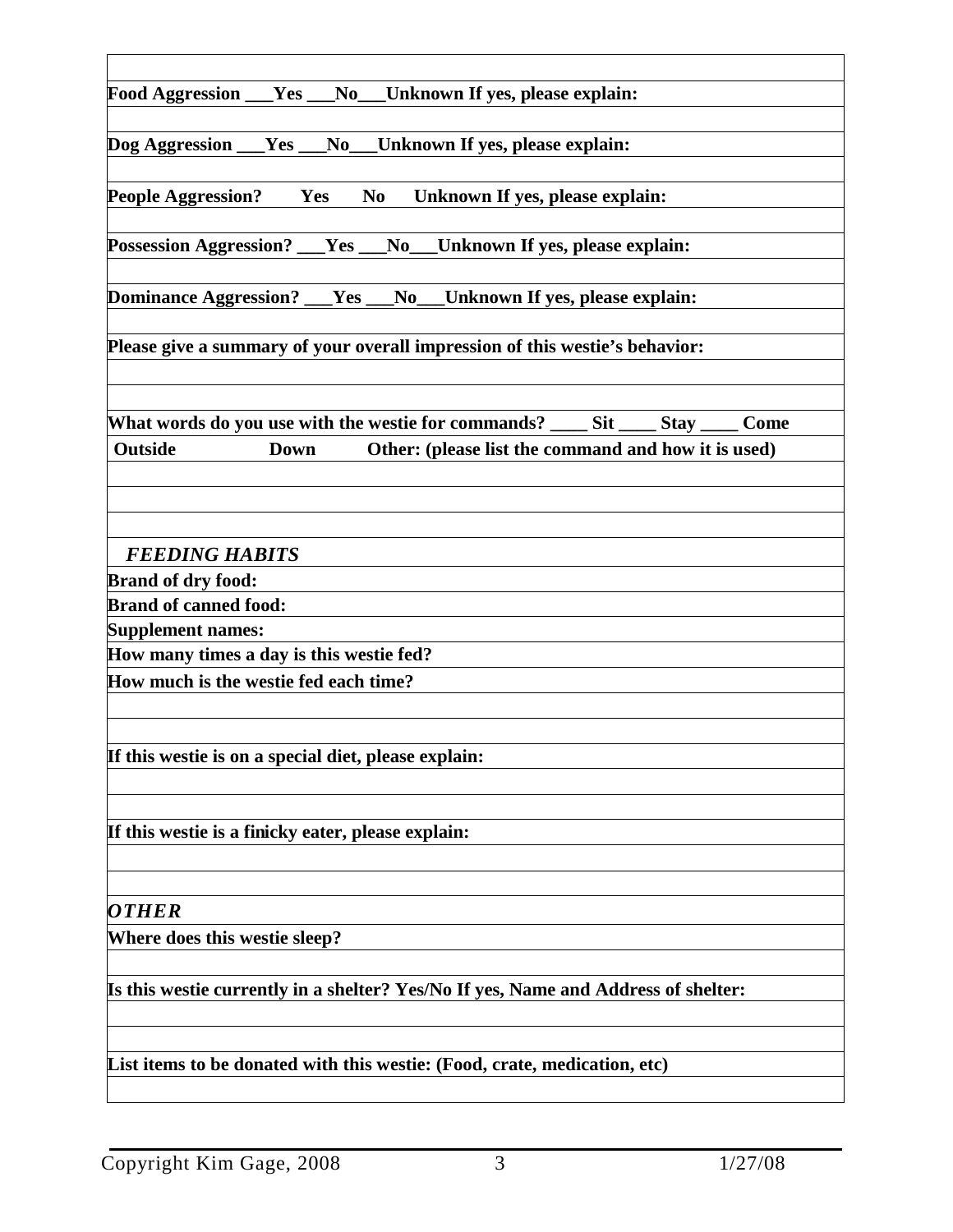| Food Aggression __Yes __No__Unknown If yes, please explain:                            |  |  |  |
|----------------------------------------------------------------------------------------|--|--|--|
|                                                                                        |  |  |  |
| Dog Aggression ___Yes ___No___Unknown If yes, please explain:                          |  |  |  |
|                                                                                        |  |  |  |
| <b>People Aggression?</b> Yes<br>No Unknown If yes, please explain:                    |  |  |  |
|                                                                                        |  |  |  |
| Possession Aggression? __Yes __No__Unknown If yes, please explain:                     |  |  |  |
| Dominance Aggression? ___Yes ___No___Unknown If yes, please explain:                   |  |  |  |
|                                                                                        |  |  |  |
| Please give a summary of your overall impression of this westie's behavior:            |  |  |  |
|                                                                                        |  |  |  |
|                                                                                        |  |  |  |
| What words do you use with the westie for commands? ______ Sit ______ Stay ______ Come |  |  |  |
| <b>Outside</b><br><b>Down</b><br>Other: (please list the command and how it is used)   |  |  |  |
|                                                                                        |  |  |  |
|                                                                                        |  |  |  |
|                                                                                        |  |  |  |
| <b>FEEDING HABITS</b>                                                                  |  |  |  |
| <b>Brand of dry food:</b>                                                              |  |  |  |
| <b>Brand of canned food:</b>                                                           |  |  |  |
| <b>Supplement names:</b>                                                               |  |  |  |
| How many times a day is this westie fed?                                               |  |  |  |
| How much is the westie fed each time?                                                  |  |  |  |
|                                                                                        |  |  |  |
|                                                                                        |  |  |  |
| If this westie is on a special diet, please explain:                                   |  |  |  |
|                                                                                        |  |  |  |
|                                                                                        |  |  |  |
| If this westie is a finicky eater, please explain:                                     |  |  |  |
|                                                                                        |  |  |  |
| <b>OTHER</b>                                                                           |  |  |  |
|                                                                                        |  |  |  |
| Where does this westie sleep?                                                          |  |  |  |
|                                                                                        |  |  |  |
| Is this westie currently in a shelter? Yes/No If yes, Name and Address of shelter:     |  |  |  |
|                                                                                        |  |  |  |
| List items to be donated with this westie: (Food, crate, medication, etc)              |  |  |  |
|                                                                                        |  |  |  |